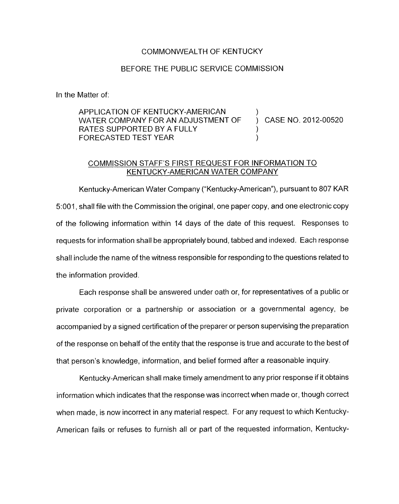### COMMONWEALTH OF KENTUCKY

#### BEFORE THE PUBLIC SERVICE COMMISSION

In the Matter of:

APPLICATION OF KENTUCKY-AMERICAN WATER COMPANY FOR AN ADJUSTMENT OF ) CASE NO. 2012-00520 RATES SUPPORTED BY A FULLY  $(1, 1)$  and  $(2, 1)$  and  $(3, 1)$  and  $(4, 1)$  and  $(5, 1)$  and  $(6, 1)$ FORECASTED TEST YEAR )

## COMMISSION STAFF'S FIRST REQUEST FOR INFORMATION TO KENTUCKY-AMERICAN WATER COMPANY

Kentucky-American Water Company ("Kentucky-American"), pursuant to 807 KAR 5:OOl , shall file with the Commission the original, one paper copy, and one electronic copy of the following information within 14 days of the date of this request. Responses to requests far information shall be appropriately bound, tabbed and indexed. Each response shall include the name of the witness responsible for responding to the questions related to the information provided.

Each response shall be answered under oath or, for representatives of a public or private corporation or a partnership or association or a governmental agency, be accompanied by a signed certification of the preparer or person supervising the preparation of the response on behalf of the entity that the response is true and accurate to the best of that person's knowledge, information, and belief formed after a reasonable inquiry

Kentucky-American shall make timely amendment to any prior response if it obtains information which indicates that the response was incorrect when made or, though correct when made, is now incorrect in any material respect. For any request to which Kentucky-American fails or refuses to furnish all or part of the requested information, Kentucky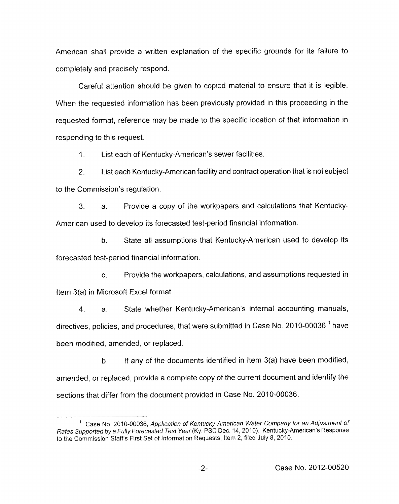American shall provide a written explanation of the specific grounds for its failure to completely and precisely respond.

Careful attention should be given to copied material to ensure that it is legible. When the requested information has been previously provided in this proceeding in the requested format, reference may be made to the specific location of that information in responding to this request.

 $1<sup>1</sup>$ List each of Kentucky-American's sewer facilities.

*2.*  List each Kentucky-American facility and contract operation that is not subject to the Commission's regulation.

3. a. Provide a copy of the workpapers and calculations that Kentucky-American used to develop its forecasted test-period financial information.

b. State all assumptions that Kentucky-American used to develop its forecasted test-period financial information.

c. Provide the workpapers, calculations, and assumptions requested in Item 3(a) in Microsoft Excel format.

**4.** a. State whether Kentucky-American's internal accounting manuals, directives, policies, and procedures, that were submitted in Case No. 2010-00036,<sup>1</sup> have been modified, amended, or replaced.

b. If any of the documents identified in Item *3(a)* have been modified, amended, or replaced, provide a complete copy of the current document and identify the sections that differ from the document provided in Case No. 2010-00036.

<sup>&</sup>lt;sup>1</sup> Case No. 2010-00036, *Application of Kentucky-American Water Company for an Adjustment of Rates Supported by a Fully Forecasted Test Year (Ky. PSC Dec. 14, 2010). Kentucky-American's Response* to the Commission Staff's First *Set* of information Requests, Item 2, filed July 8, 2010.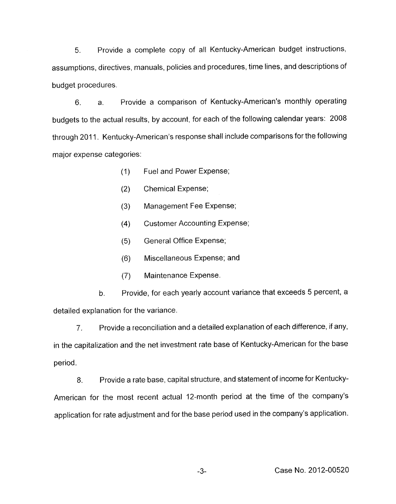*5.* Provide a complete copy of all Kentucky-American budget instructions, assumptions, directives, manuals, policies and procedures, time lines, and descriptions of budget procedures.

6. a. Provide a comparison of Kentucky-American's monthly operating budgets to the actual results, by account, for each of the following calendar years: 2008 through 2011. Kentucky-American's response shall include comparisons for the following major expense categories:

- (1) Fuel and Power Expense;
- (2) Chemical Expense;
- (3) Management Fee Expense;
- **(4)** Customer Accounting Expense;
- (5) General Office Expense;
- (6) Miscellaneous Expense; and
- (7) Maintenance Expense.

b. Provide, for each yearly account variance that exceeds 5 percent, a detailed explanation for the variance.

*7.* Provide a reconciliation and a detailed explanation of each difference, if any, in the capitalization and the net investment rate base of Kentucky-American for the base period.

8. Provide a rate base, capital structure, and statement of income for Kentucky-American for the most recent actual 12-month period at the time of the company's application for rate adjustment and for the base period used in the company's application.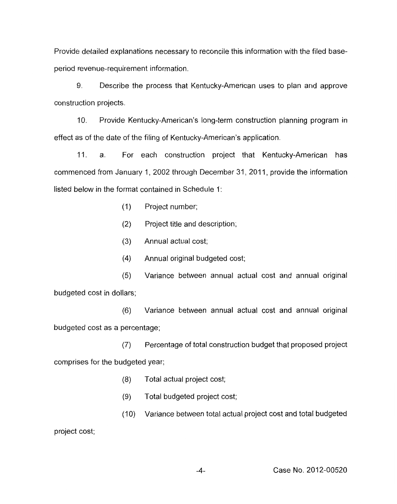Provide detailed explanations necessary to reconcile this information with the filed baseperiod revenue-requirement information.

9. Describe the process that Kentucky-American uses to plan and approve construction projects.

10. Provide Kentucky-American's long-term construction planning program in effect as of the date of the filing of Kentucky-American's application.

11. a. For each construction project that Kentucky-American has commenced from January 1, 2002 through December 31, 2011, provide the information listed below in the format contained in Schedule 1:

- (I) Project number;
- (2) Project title and description;
- (3) Annual actual cost;
- (4) Annual original budgeted cost;
- (5) Variance between annual actual cost and annual original budgeted cost in dollars;
- *(6)* Variance between annual actual cost and annual original budgeted cost as a percentage;

*(7)* Percentage of total construction budget that proposed project comprises for the budgeted year;

- (8) Total actual project cost;
- (9) Total budgeted project cost;
- (10) Variance between total actual project cost and total budgeted

project cost;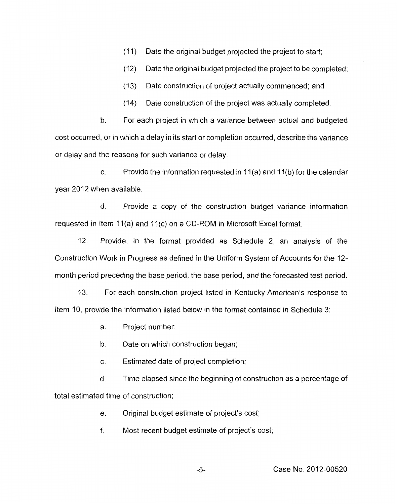(1 1) Date the original budget projected the project to start;

 $(12)$  Date the original budget projected the project to be completed;

(13) Date construction of project actually commenced; and

(14) Date construction of the project was actually completed.

For each project in which a variance between actual and budgeted cost occurred, or in which a delay in its start or completion occurred, describe the variance or delay and the reasons for such variance or delay. h.

c. Provide the information requested in  $11(a)$  and  $11(b)$  for the calendar year 2012 when available.

d. Provide a copy of the construction budget variance information requested in Item 11(a) and 11(c) on a CD-ROM in Microsoft Excel format.

12. Provide, in the format provided as Schedule 2, an analysis of the Construction Work in Progress as defined in the Uniform System of Accounts for the 12 month period preceding the base period, the base period, and the forecasted test period.

13. For each construction project listed in Kentucky-American's response to Item 10, provide the information listed below in the format contained in Schedule 3:

a. Project number;

b. Date on which construction began;

c. Estimated date of project completion;

d. Time elapsed since the beginning of construction as a percentage of total estimated time of construction;

> e. Original budget estimate of project's cost;

f. Most recent budget estimate of project's cost;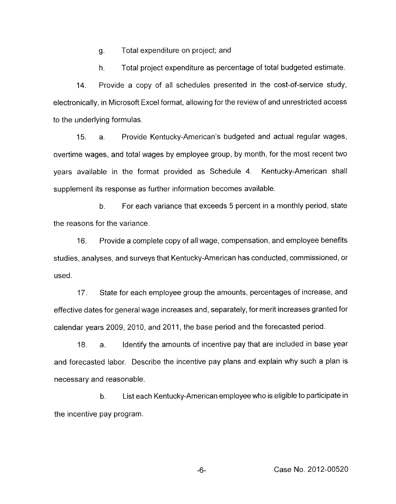g. Total expenditure on project; and

h. Total project expenditure as percentage of total budgeted estimate.

Provide a copy of all schedules presented in the cost-of-service study, electronically, in Microsoft Excel format, allowing for the review of and unrestricted access to the underlying formulas. 14.

15. a. Provide Kentucky-American's budgeted and actual regular wages, overtime wages, and total wages by employee group, by month, for the most recent two years available in the format provided as Schedule 4. Kentucky-American shall supplement its response as further information becomes available.

b. the reasons for the variance. For each variance that exceeds 5 percent in a monthly period, state

16. Provide a complete copy of all wage, compensation, and employee benefits studies, analyses, and surveys that Kentucky-American has conducted, commissioned, or used.

17. State for each employee group the amounts, percentages of increase, and effective dates for general wage increases and, separately, for merit increases granted for calendar years 2009, 2010, and 2011, the base period and the forecasted period.

18. a. Identify the amounts of incentive pay that are included in base year and forecasted labor. Describe the incentive pay plans and explain why such a plan is necessary and reasonable.

b. List each Kentucky-American employee who is eligible to participate in the incentive pay program.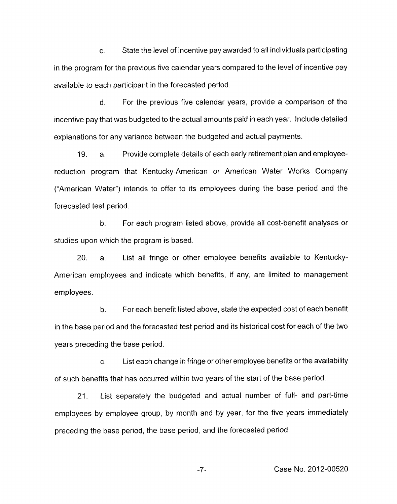c. State the level of incentive pay awarded to all individuals participating in the program for the previous five calendar years compared to the level of incentive pay available to each participant in the forecasted period.

d. For the previous five calendar years, provide a comparison of the incentive pay that was budgeted to the actual amounts paid in each year. Include detailed explanations for any variance between the budgeted and actual payments.

19. a. Provide complete details of each early retirement plan and employeereduction program that Kentucky-American or American Water Works Company ("American Water") intends to offer to its employees during the base period and the forecasted test period.

b. For each program listed above, provide all cost-benefit analyses or studies upon which the program is based.

20. a. List all fringe or other employee benefits available to Kentucky-American employees and indicate which benefits, if any, are limited to management employees.

b. For each benefit listed above, state the expected cost of each benefit in the base period and the forecasted test period and its historical cost for each of the two years preceding the base period.

c. List each change in fringe or other employee benefits or the availability of such benefits that has occurred within two years of the start of the base period.

21. List separately the budgeted and actual number of full- and part-time employees by employee group, by month and by year, for the five years immediately preceding the base period, the base period, and the forecasted period.

-7- Case No. 2012-00520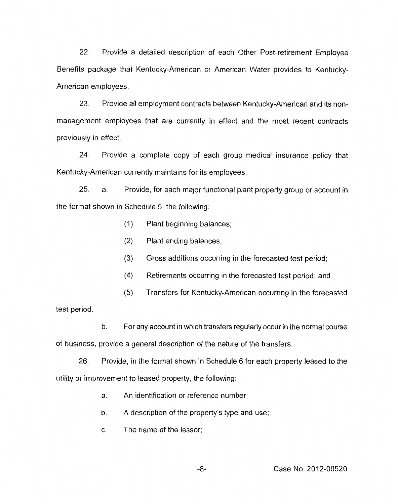22. Provide a detailed description of each Other Post-retirement Employee Benefits package that Kentucky-American or American Water provides to Kentucky-American employees.

*23.* Provide all employment contracts between Kentucky-American and its nonmanagement employees that are currently in effect and the most recent contracts previously in effect.

24. Provide a complete copy of each group medical insurance policy that Kentucky-American currently maintains for its employees.

25. a. Provide, for each major functional plant property group or account in the format shown in Schedule 5, the following:

- (1) Plant beginning balances;
- (2) Plant ending balances;
- (3) Gross additions occurring in the forecasted test period;
- (4) Retirements occurring in the forecasted test period; and
- (5) Transfers for Kentucky-American occurring in the forecasted

test period.

b. For any account in which transfers regularly occur in the normal course

of business, provide a general description of the nature of the transfers.

26. Provide, in the format shown in Schedule 6 for each property leased to the utility or improvement to leased property, the following:

- a. An identification or reference number;
- b. A description of the property's type and use;
- c. The name of the lessor;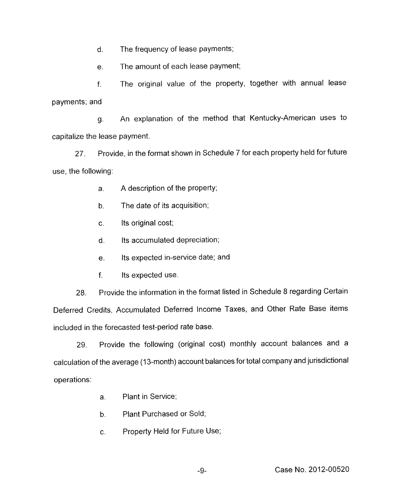d. The frequency of lease payments;

e. The amount of each lease payment;

f. payments; and The original value of the property, together with annual lease

g. capitalize the lease payment. An explanation of the method that Kentucky-American uses to

27. use, the following: Provide, in the format shown in Schedule 7 for each property held for future

- a. A description of the property;
- b. The date of its acquisition;
- c. Its original cost;
- d. Its accumulated depreciation;
- e. Its expected in-service date; and
- f. Its expected use.

Provide the information in the format listed in Schedule 8 regarding Certain Deferred Credits, Accumulated Deferred Income Taxes, and Other Rate Base items included in the forecasted test-period rate base. 28.

29. Provide the following (original cost) monthly account balances and a calculation of the average (13-month) account balances for total company and jurisdictional operations:

- a. Plant in Service;
- b. Plant Purchased or Sold;
- c. Property Held for Future Use;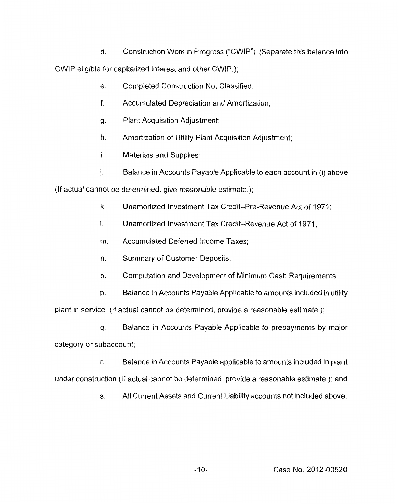d. Construction Work in Progress ("CWIP") (Separate this balance into CWIP eligible for capitalized interest and other CWIP.);

- e. Completed Construction Not Classified;
- f. Accumulated Depreciation and Amortization;
- g. Plant Acquisition Adjustment;
- h. Amortization of Utility Plant Acquisition Adjustment;
- **I.** Materials and Supplies;
- 1, Balance in Accounts Payable Applicable to each account in (i) above

(If actual cannot be determined, give reasonable estimate.);

- **k.**  Unamortized Investment Tax Credit-Pre-Revenue Act of 1971;
- I. Unamortized Investment Tax Credit-Revenue Act of 1971:
- m. Accumulated Deferred Income Taxes;
- n. Summary of Customer, Deposits;
- *0.*  Computation and Development of Minimum Cash Requirements;
- p. Balance in Accounts Payable Applicable to amounts included in utility

plant in service (If actual cannot be determined, provide a reasonable estimate.);

q. Balance in Accounts Payable Applicable to prepayments by major category or subaccount;

r. Balance in Accounts Payable applicable to amounts included in plant under construction (If actual cannot be determined, provide a reasonable estimate.); and

s. All Current Assets and Current Liability accounts not included above.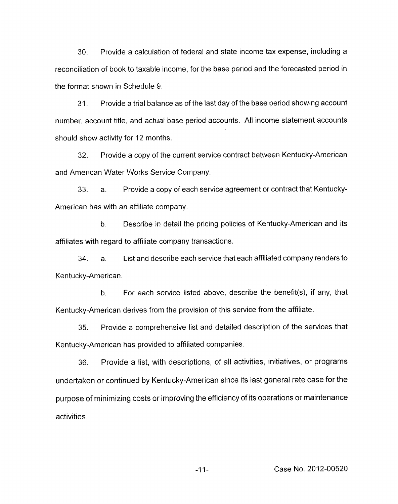30. Provide a calculation of federal and state income tax expense, including a reconciliation of book to taxable income, for the base period and the forecasted period in the format shown in Schedule 9.

31. Provide a trial balance as of the last day of the base period showing account number, account title, and actual base period accounts. All income statement accounts should show activity for 12 months.

32. Provide a copy of the current service contract between Kentucky-American and American Water Works Service Company.

33. a. Provide a copy of each service agreement or contract that Kentucky-American has with an affiliate company.

b. Describe in detail the pricing policies of Kentucky-American and its affiliates with regard to affiliate company transactions.

34. a. List and describe each service that each affiliated company renders to Kentucky-American.

b. For each service listed above, describe the benefit(s), if any, that Kentucky-American derives from the provision of this service from the affiliate.

*35.* Provide a comprehensive list and detailed description of the services that Kentucky-American has provided to affiliated companies.

36. Provide a list, with descriptions, of all activities, initiatives, or programs undertaken or continued by Kentucky-American since its last general rate case for the purpose of minimizing costs or improving the efficiency of its operations or maintenance activities.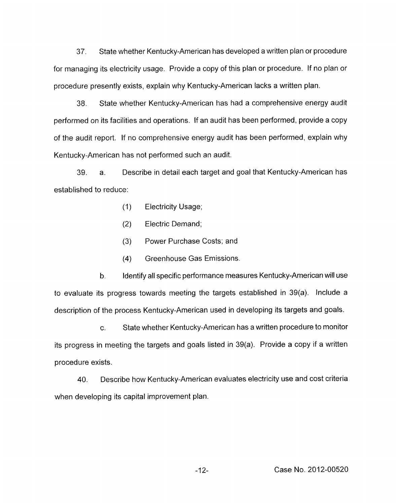37. State whether Kentucky-American has developed a written plan or procedure for managing its electricity usage. Provide a copy of this plan or procedure. If no plan or procedure presently exists, explain why Kentucky-American lacks a written plan.

38. State whether Kentucky-American has had a comprehensive energy audit performed on its facilities and operations. If an audit has been performed, provide a copy of the audit report. If no comprehensive energy audit has been performed, explain why Kentucky-American has not performed such an audit.

39. a. established to reduce: Describe in detail each target and goal that Kentucky-American has

- (1) Electricity Usage;
- (2) Electric Demand;
- (3) Power Purchase Costs; and
- (4) Greenhouse Gas Emissions.

Identify all specific performance measures Kentucky-American will use to evaluate its progress towards meeting the targets established in 39(a). Include a description of the process Kentucky-American used in developing its targets and goals. b.

c. State whether Kentucky-American has a written procedure to monitor its progress in meeting the targets and goals listed in 39(a). Provide a copy if a written procedure exists.

40. Describe how Kentucky-American evaluates electricity use and cost criteria when developing its capital improvement plan.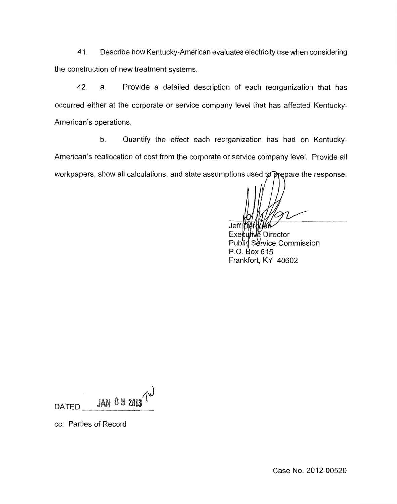41. Describe how Kentucky-American evaluates electricity use when considering the construction of new treatment systems.

42. a. Provide a detailed description of each reorganization that has occurred either at the corporate or service company level that has affected Kentucky-American's operations.

b. Quantify the effect each reorganization has had on Kentucky-American's reallocation of cost from the corporate or service company level. Provide all workpapers, show all calculations, and state assumptions used to prepare the response.

Jeff

Executive Director Publid Service Commission P.O. Box 615 Frankfort, KY 40602

 $\mu$  0 9 2013 DATED

cc: Parties of Record

Case No. 2012-00520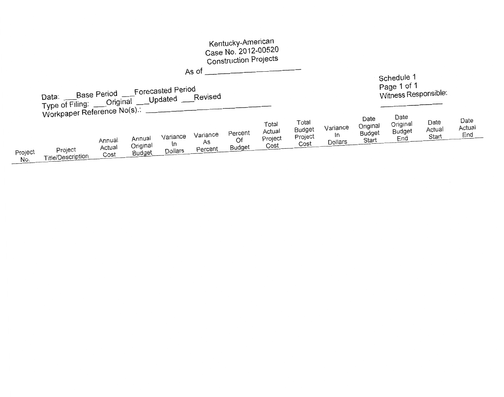|                                                                                                                                                     |                                                                   |                          |                              |                           |                           | Kentucky-American<br>Case No. 2012-00520<br><b>Construction Projects</b> |                                    |                                    |                                  |                                            |                                          |                         |                       |
|-----------------------------------------------------------------------------------------------------------------------------------------------------|-------------------------------------------------------------------|--------------------------|------------------------------|---------------------------|---------------------------|--------------------------------------------------------------------------|------------------------------------|------------------------------------|----------------------------------|--------------------------------------------|------------------------------------------|-------------------------|-----------------------|
| As of<br>Schedule 1<br>Page 1 of 1<br>Base Period ___Forecasted Period<br>Witness Responsible:<br>Type of Filing: ___Original ___Updated ___Revised |                                                                   |                          |                              |                           |                           |                                                                          |                                    |                                    |                                  |                                            |                                          |                         |                       |
| Project<br>No.                                                                                                                                      | Workpaper Reference No(s).<br>Project<br><b>Title/Description</b> | Annual<br>Actual<br>Cost | Annual<br>Original<br>Budget | Variance<br>In<br>Dollars | Variance<br>As<br>Percent | Percent<br>Of<br>Budget                                                  | Total<br>Actual<br>Project<br>Cost | Total<br>Budget<br>Project<br>Cost | Variance<br>In<br><b>Dollars</b> | Date<br>Original<br><b>Budget</b><br>Start | Date<br>Original<br><b>Budget</b><br>End | Date<br>Actual<br>Start | Date<br>Actual<br>End |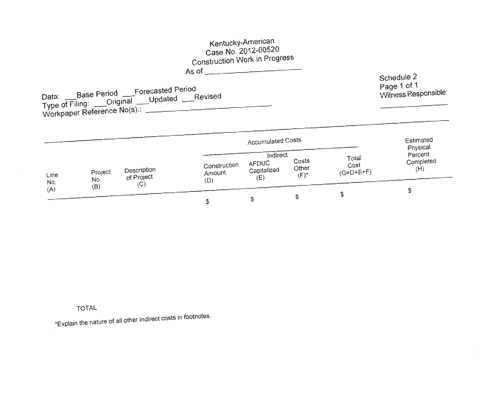# Kentucky-American Case No. 2012-00520 **Construction Work in Progress**

As of  $\qquad \qquad$   $\qquad \qquad$   $\qquad$   $\qquad$   $\qquad$   $\qquad$   $\qquad$   $\qquad$   $\qquad$   $\qquad$   $\qquad$   $\qquad$   $\qquad$   $\qquad$   $\qquad$   $\qquad$   $\qquad$   $\qquad$   $\qquad$   $\qquad$   $\qquad$   $\qquad$   $\qquad$   $\qquad$   $\qquad$   $\qquad$   $\qquad$   $\qquad$   $\qquad$   $\qquad$   $\qquad$   $\qquad$   $\qquad$   $\qquad$   $\qquad$ 

Schedule 2 Page 1 of 1<br>Witness Responsible:

|             |                |                                  |                               | <b>Accumulated Costs</b>                      |                                        |                              | Estimated<br>Physical       |
|-------------|----------------|----------------------------------|-------------------------------|-----------------------------------------------|----------------------------------------|------------------------------|-----------------------------|
| Line<br>No. | Project<br>No. | Description<br>of Project<br>(C) | Construction<br>Amount<br>(D) | Indirect<br><b>AFDUC</b><br>Capitalized<br>(E | Costs<br>Other<br>$(\mathsf{F})^\star$ | Total<br>Cost<br>$(G=D+E+F)$ | Percent<br>Completed<br>(H) |
| (A)         | (B)            |                                  |                               |                                               | Ъ                                      |                              |                             |

**TOTAL** 

\*Explain the nature of all other indirect costs in footnotes.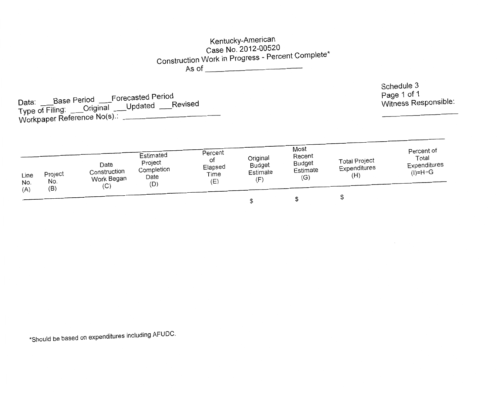## Kentucky-American Case No. 2012-00520 Construction Work in Progress - Percent Complete\* As of

Data: \_\_\_Base Period \_\_\_Forecasted Period<br>Type of Filing: \_\_\_Original \_\_\_Updated \_\_\_Revised Workpaper Reference No(s). Schedule 3 Page 1 of 1 Witness Responsible:

| Line<br>No.<br>(A) | Project<br>No.<br>(B) | Date<br>Construction<br>Work Began<br>(C) | Estimated<br>Project<br>Completion<br>Date<br>(D) | Percent<br>ot<br>Elapsed<br>Time<br>(E) | Original<br>Budget<br>Estimate<br>(F | Most<br>Recent<br><b>Budget</b><br>Estimate<br>(G) | <b>Total Project</b><br>Expenditures<br>(H) | Percent of<br>Total<br>Expenditures<br>$(I)=H+G$ |
|--------------------|-----------------------|-------------------------------------------|---------------------------------------------------|-----------------------------------------|--------------------------------------|----------------------------------------------------|---------------------------------------------|--------------------------------------------------|
|                    |                       |                                           |                                                   |                                         |                                      |                                                    |                                             |                                                  |

\*Should be based on expenditures including AFUDC.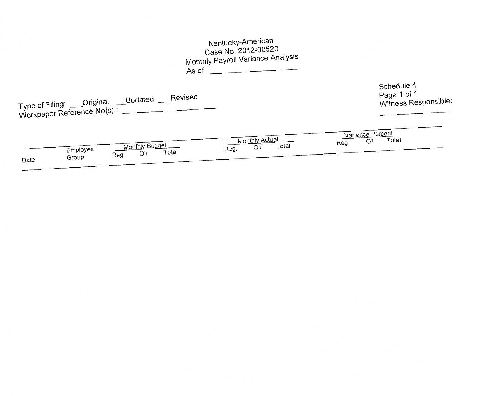| Kentucky-American<br>Case No. 2012-00520<br>Monthly Payroll Variance Analysis<br>As of $\_\_$                             |                                                   |
|---------------------------------------------------------------------------------------------------------------------------|---------------------------------------------------|
| Type of Filing: ___Original ___Updated ___Revised<br>Workpaper Reference No(s).: ______                                   | Schedule 4<br>Page 1 of 1<br>Witness Responsible: |
| <b>Monthly Actual</b><br><b>Monthly Budget</b><br>Total<br>OT<br>Reg.<br>Employee<br>Total<br>OT<br>Reg.<br>Group<br>Date | Variance Percent<br>Total<br>OT<br>Reg.           |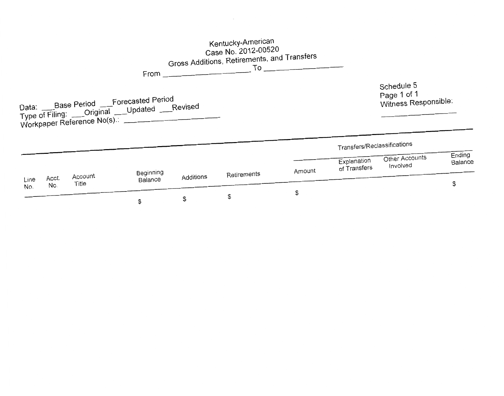|      |       |                  |                                                                                                               |                 | Kentucky-American<br>Case No. 2012-00520<br>Gross Additions, Retirements, and Transfers<br>$\mathsf{T}\circ$ |        |                                            |                                                   |               |
|------|-------|------------------|---------------------------------------------------------------------------------------------------------------|-----------------|--------------------------------------------------------------------------------------------------------------|--------|--------------------------------------------|---------------------------------------------------|---------------|
|      |       |                  | Data: Base Period Forecasted Period<br>Type of Filing: Criginal Updated Revised<br>Workpaper Reference No(s). | $From \fbox{1}$ |                                                                                                              |        |                                            | Schedule 5<br>Page 1 of 1<br>Witness Responsible: |               |
|      |       |                  |                                                                                                               |                 |                                                                                                              |        | Transfers/Reclassifications<br>Explanation | Other Accounts                                    | Ending        |
| Line | Acct. | Account<br>Title | Beginning<br>Balance                                                                                          | Additions       | Retirements                                                                                                  | Amount | of Transfers                               | Involved                                          | Balance<br>\$ |
| No.  | No.   |                  | \$                                                                                                            | \$              | \$                                                                                                           | \$     |                                            |                                                   |               |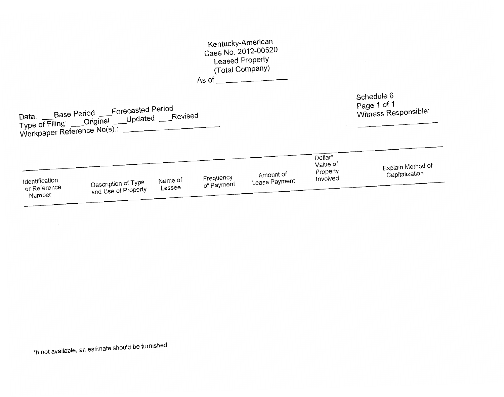# Kentucky-American Case No. 2012-00520 Leased Property (Total Company)

As of  $\overline{\qquad \qquad }$ 

Schedule 6 Page 1 of 1<br>Witness Responsible:

|                                          |                                            |                   |                         |                            | Dollar'<br>Value of  | Explain Method of |
|------------------------------------------|--------------------------------------------|-------------------|-------------------------|----------------------------|----------------------|-------------------|
| Identification<br>or Reference<br>Number | Description of Type<br>and Use of Property | Name of<br>Lessee | Frequency<br>of Payment | Amount of<br>Lease Payment | Property<br>Involved | Capitalization    |

\*If not available, an estimate should be furnished.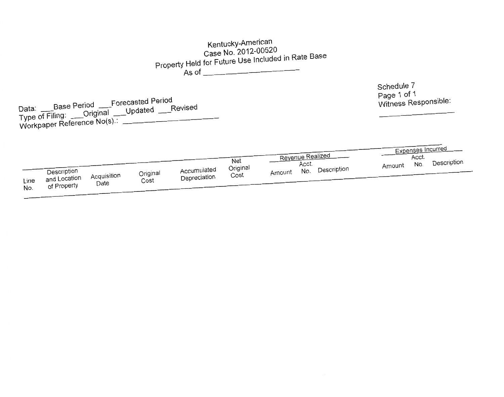#### Kentucky-American Case No. 2012-00520 Property Held for Future Use Included in Rate Base  $As of$ Schedule 7 Page 1 of 1 Data: \_\_\_\_Base Period \_\_\_Forecasted Period Witness Responsible: Type of Filing: Original Updated Revised Workpaper Reference No(s): **Expenses Incurred Revenue Realized** Acct. **Net** No. Description Acct. Amount Original No. Description Accumulated Description Amount Original Acquisition Cost Depreciation and Location  $Cost$ Date

Line

No.

of Property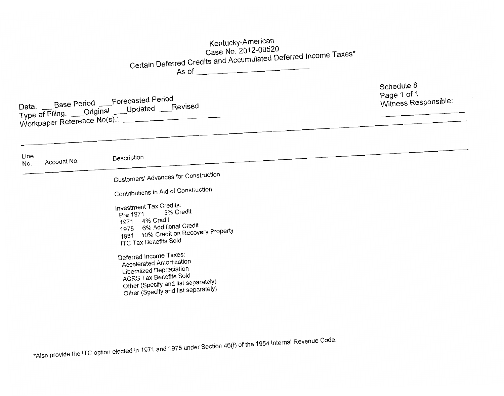# Kentucky-American Case No. 2012-00520 Certain Deferred Credits and Accumulated Deferred Income Taxes\* As of

Data: \_\_\_Base Period \_\_\_Forecasted Period Type of Filing: \_\_\_Original \_\_\_\_Updated \_\_\_Revised Workpaper Reference No(s).

Schedule 8 Page 1 of 1 Witness Responsible:

Line Description Account No. No. Customers' Advances for Construction Contributions in Aid of Construction Investment Tax Credits: 3% Credit Pre 1971 1971 4% Credit 1975 6% Additional Credit 1981 10% Credit on Recovery Property **ITC Tax Benefits Sold** Deferred Income Taxes: **Accelerated Amortization** Liberalized Depreciation **ACRS Tax Benefits Sold** Other (Specify and list separately) Other (Specify and list separately)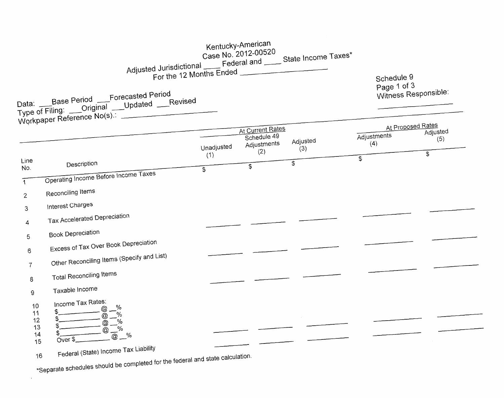|                                  |                                                                                                                                                                                               | For the 12 Months Ended |            | Kentucky-American<br>Case No. 2012-00520 | Adjusted Jurisdictional Federal and State Income Taxes* | Schedule 9<br>Page 1 of 3        |                |
|----------------------------------|-----------------------------------------------------------------------------------------------------------------------------------------------------------------------------------------------|-------------------------|------------|------------------------------------------|---------------------------------------------------------|----------------------------------|----------------|
|                                  | Data: ____Base Period ____Forecasted Period<br>Type of Filing: ____Original ____Updated ____Revised<br>Workpaper Reference No(s).                                                             |                         |            |                                          |                                                         | Witness Responsible:             |                |
|                                  |                                                                                                                                                                                               |                         |            | At Current Rates<br>Schedule 49          |                                                         | At Proposed Rates<br>Adjustments | Adjusted       |
|                                  |                                                                                                                                                                                               |                         | Unadjusted | Adjustments                              | Adjusted<br>(3)                                         | (4)                              | (5)            |
| Line<br>No.                      | Description                                                                                                                                                                                   |                         | (1)<br>\$  | (2)<br>\$                                | $\mathfrak{L}$                                          | \$                               | $\mathfrak{S}$ |
|                                  | Operating Income Before Income Taxes                                                                                                                                                          |                         |            |                                          |                                                         |                                  |                |
| $\mathbf{2}$                     | Reconciling Items                                                                                                                                                                             |                         |            |                                          |                                                         |                                  |                |
| 3                                | Interest Charges                                                                                                                                                                              |                         |            |                                          |                                                         |                                  |                |
| 4                                | Tax Accelerated Depreciation                                                                                                                                                                  |                         |            |                                          |                                                         |                                  |                |
| 5                                | <b>Book Depreciation</b>                                                                                                                                                                      |                         |            |                                          |                                                         |                                  |                |
| 6                                | Excess of Tax Over Book Depreciation                                                                                                                                                          |                         |            |                                          |                                                         |                                  |                |
| $\tau$                           | Other Reconciling Items (Specify and List)                                                                                                                                                    |                         |            |                                          |                                                         |                                  |                |
| 8                                | <b>Total Reconciling Items</b>                                                                                                                                                                |                         |            |                                          |                                                         |                                  |                |
| 9                                | Taxable Income                                                                                                                                                                                |                         |            |                                          |                                                         |                                  |                |
| 10<br>11<br>12<br>13<br>14<br>15 | Income Tax Rates:<br>%<br>$@ -$<br>$\mathcal{L}$<br>- %<br>5<br>$\sqrt{\frac{9}{6}}$<br>$@$ $-$<br>$\frac{1}{\sqrt{2}}$<br>$^{\copyright}$<br>$\overline{\omega}^{\prime\prime}$ %<br>Over \$ |                         |            |                                          |                                                         |                                  |                |
|                                  | Federal (State) Income Tax Liability                                                                                                                                                          |                         |            |                                          |                                                         |                                  |                |
|                                  | *Separate schedules should be completed for the federal and state calculation.                                                                                                                |                         |            |                                          |                                                         |                                  |                |

 $\mathcal{A}^{\text{max}}_{\text{max}}$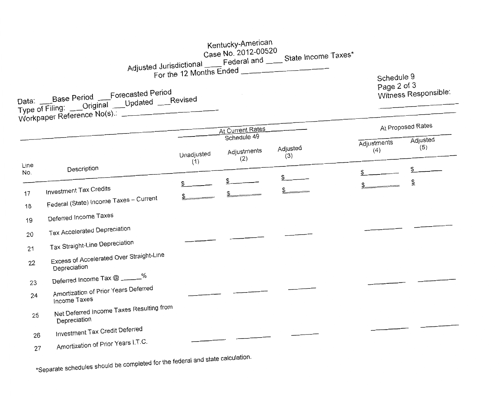|             |                                                                                                                       |                   | Kentucky-American<br>Case No. 2012-00520<br>For the 12 Months Ended | Adjusted Jurisdictional Federal and State Income Taxes* |                           |                      |
|-------------|-----------------------------------------------------------------------------------------------------------------------|-------------------|---------------------------------------------------------------------|---------------------------------------------------------|---------------------------|----------------------|
|             | Data: Base Period Forecasted Period<br>Type of Filing: ___Original ___Updated ___Revised<br>Workpaper Reference No(s) |                   |                                                                     |                                                         | Schedule 9<br>Page 2 of 3 | Witness Responsible: |
|             |                                                                                                                       |                   | <b>At Current Rates</b>                                             |                                                         |                           | At Proposed Rates    |
|             |                                                                                                                       |                   | Schedule 49                                                         |                                                         |                           | Adjusted             |
|             |                                                                                                                       | Unadjusted<br>(1) | Adjustments<br>(2)                                                  | Adjusted<br>(3)                                         | Adjustments<br>(4)        | (5)                  |
| Line<br>No. | Description                                                                                                           |                   |                                                                     |                                                         |                           | \$                   |
| 17<br>18    | <b>Investment Tax Credits</b><br>Federal (State) Income Taxes - Current                                               |                   |                                                                     |                                                         |                           | \$                   |
| 19          | Deferred Income Taxes                                                                                                 |                   |                                                                     |                                                         |                           |                      |
| 20          | Tax Accelerated Depreciation                                                                                          |                   |                                                                     |                                                         |                           |                      |
| 21          | Tax Straight-Line Depreciation                                                                                        |                   |                                                                     |                                                         |                           |                      |
| 22          | Excess of Accelerated Over Straight-Line<br>Depreciation                                                              |                   |                                                                     |                                                         |                           |                      |
| 23          | Deferred Income Tax @ _____%                                                                                          |                   |                                                                     |                                                         |                           |                      |
| 24          | Amortization of Prior Years Deferred<br>Income Taxes                                                                  |                   |                                                                     |                                                         |                           |                      |
| 25          | Net Deferred Income Taxes Resulting from<br>Depreciation                                                              |                   |                                                                     |                                                         |                           |                      |
| 26          | Investment Tax Credit Deferred                                                                                        |                   |                                                                     |                                                         |                           |                      |
| 27          | Amortization of Prior Years I.T.C.                                                                                    |                   |                                                                     |                                                         |                           |                      |
|             | *Separate schedules should be completed for the federal and state calculation.                                        |                   |                                                                     |                                                         |                           |                      |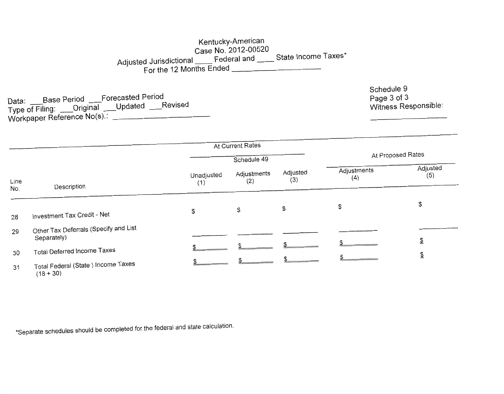## Kentucky-American Case No. 2012-00520 Adjusted Jurisdictional \_\_\_\_ Federal and \_\_\_\_ State Income Taxes\* For the 12 Months Ended

Data: \_\_\_Base Period \_\_\_Forecasted Period Type of Filing: \_\_\_Original \_\_\_Updated \_\_\_Revised Workpaper Reference No(s): Schedule 9 Page 3 of 3 Witness Responsible:

|             |                                                      |                   | At Current Rates   |                   |                    |                 |
|-------------|------------------------------------------------------|-------------------|--------------------|-------------------|--------------------|-----------------|
|             |                                                      |                   | Schedule 49        | At Proposed Rates |                    |                 |
| Line<br>No. | Description                                          | Unadjusted<br>(1) | Adjustments<br>(2) | Adjusted<br>(3)   | Adjustments<br>(4) | Adjusted<br>(5) |
| 28          | Investment Tax Credit - Net                          | \$                | \$                 | \$                | \$                 | \$              |
| 29          | Other Tax Deferrals (Specify and List<br>Separately) |                   |                    |                   |                    | ⅀               |
| 30          | <b>Total Deferred Income Taxes</b>                   |                   |                    |                   |                    | \$              |
| 31          | Total Federal (State) Income Taxes                   |                   |                    |                   |                    |                 |

 $(18 + 30)$ 

\*Separate schedules should be completed for the federal and state calculation.